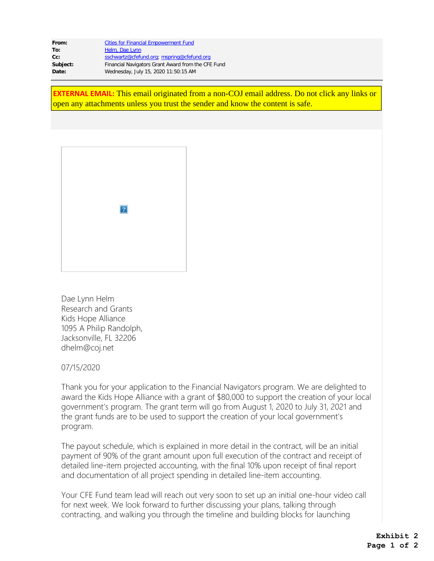| From:    | <b>Cities for Financial Empowerment Fund</b>       |
|----------|----------------------------------------------------|
| To:      | Helm, Dae Lynn                                     |
| $Cc$ :   | sschwartz@cfefund.org; mspring@cfefund.org         |
| Subject: | Financial Navigators Grant Award from the CFE Fund |
| Date:    | Wednesday, July 15, 2020 11:50:15 AM               |

**EXTERNAL EMAIL:** This email originated from a non-COJ email address. Do not click any links or open any attachments unless you trust the sender and know the content is safe.



Dae Lynn Helm Research and Grants Kids Hope Alliance 1095 A Philip Randolph, Jacksonville, FL 32206 dhelm@coj.net

07/15/2020

Thank you for your application to the Financial Navigators program. We are delighted to award the Kids Hope Alliance with a grant of \$80,000 to support the creation of your local government's program. The grant term will go from August 1, 2020 to July 31, 2021 and the grant funds are to be used to support the creation of your local government's program.

The payout schedule, which is explained in more detail in the contract, will be an initial payment of 90% of the grant amount upon full execution of the contract and receipt of detailed line-item projected accounting, with the final 10% upon receipt of final report and documentation of all project spending in detailed line-item accounting.

Your CFE Fund team lead will reach out very soon to set up an initial one-hour video call for next week. We look forward to further discussing your plans, talking through contracting, and walking you through the timeline and building blocks for launching